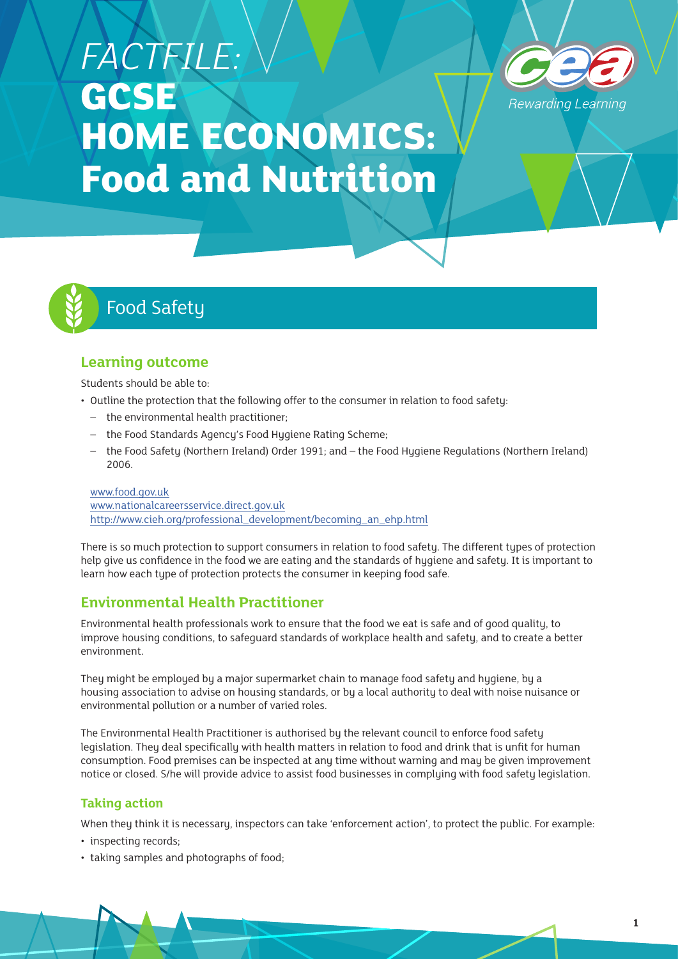# *FACTFILE:*  **GCSE HOME ECONOMICS: Food and Nutrition**





# Food Safety

# **Learning outcome**

Students should be able to:

- Outline the protection that the following offer to the consumer in relation to food safety:
	- the environmental health practitioner;
	- the Food Standards Agency's Food Hygiene Rating Scheme;
	- the Food Safety (Northern Ireland) Order 1991; and the Food Hygiene Regulations (Northern Ireland) 2006.

[www.food.gov.uk](http://www.food.gov.uk) [www.nationalcareersservice.direct.gov.uk](http://www.nationalcareersservice.direct.gov.uk) [http://www.cieh.org/professional\\_development/becoming\\_an\\_ehp.html](http://www.cieh.org/professional_development/becoming_an_ehp.html)

There is so much protection to support consumers in relation to food safety. The different types of protection help give us confidence in the food we are eating and the standards of hygiene and safety. It is important to learn how each type of protection protects the consumer in keeping food safe.

# **Environmental Health Practitioner**

Environmental health professionals work to ensure that the food we eat is safe and of good quality, to improve housing conditions, to safeguard standards of workplace health and safety, and to create a better environment.

They might be employed by a major supermarket chain to manage food safety and hygiene, by a housing association to advise on housing standards, or by a local authority to deal with noise nuisance or environmental pollution or a number of varied roles.

The Environmental Health Practitioner is authorised by the relevant council to enforce food safety legislation. They deal specifically with health matters in relation to food and drink that is unfit for human consumption. Food premises can be inspected at any time without warning and may be given improvement notice or closed. S/he will provide advice to assist food businesses in complying with food safety legislation.

## **Taking action**

When they think it is necessary, inspectors can take 'enforcement action', to protect the public. For example:

- inspecting records;
- taking samples and photographs of food;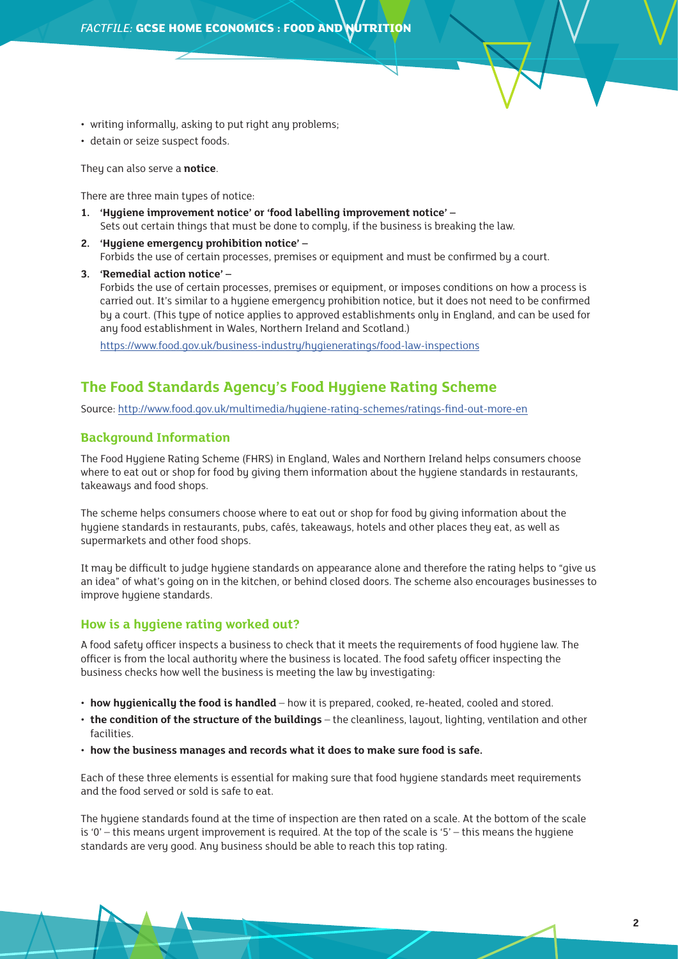- writing informally, asking to put right any problems;
- detain or seize suspect foods.

They can also serve a **notice**.

There are three main types of notice:

- **1. 'Hygiene improvement notice' or 'food labelling improvement notice'**  Sets out certain things that must be done to comply, if the business is breaking the law.
- **2. 'Hygiene emergency prohibition notice' –** Forbids the use of certain processes, premises or equipment and must be confirmed by a court.
- **3. 'Remedial action notice' –** Forbids the use of certain processes, premises or equipment, or imposes conditions on how a process is carried out. It's similar to a hygiene emergency prohibition notice, but it does not need to be confirmed by a court. (This type of notice applies to approved establishments only in England, and can be used for any food establishment in Wales, Northern Ireland and Scotland.)

<https://www.food.gov.uk/business-industry/hygieneratings/food-law-inspections>

# **The Food Standards Agency's Food Hygiene Rating Scheme**

Source: <http://www.food.gov.uk/multimedia/hygiene-rating-schemes/ratings-find-out-more-en>

#### **Background Information**

The Food Hygiene Rating Scheme (FHRS) in England, Wales and Northern Ireland helps consumers choose where to eat out or shop for food by giving them information about the hygiene standards in restaurants, takeaways and food shops.

The scheme helps consumers choose where to eat out or shop for food by giving information about the hygiene standards in restaurants, pubs, cafés, takeaways, hotels and other places they eat, as well as supermarkets and other food shops.

It may be difficult to judge hygiene standards on appearance alone and therefore the rating helps to "give us an idea" of what's going on in the kitchen, or behind closed doors. The scheme also encourages businesses to improve hugiene standards.

#### **How is a hygiene rating worked out?**

A food safety officer inspects a business to check that it meets the requirements of food hygiene law. The officer is from the local authority where the business is located. The food safety officer inspecting the business checks how well the business is meeting the law by investigating:

- **how hygienically the food is handled** how it is prepared, cooked, re-heated, cooled and stored.
- **the condition of the structure of the buildings** the cleanliness, layout, lighting, ventilation and other facilities
- **how the business manages and records what it does to make sure food is safe.**

Each of these three elements is essential for making sure that food hygiene standards meet requirements and the food served or sold is safe to eat.

The hygiene standards found at the time of inspection are then rated on a scale. At the bottom of the scale is '0' – this means urgent improvement is required. At the top of the scale is '5' – this means the hygiene standards are very good. Any business should be able to reach this top rating.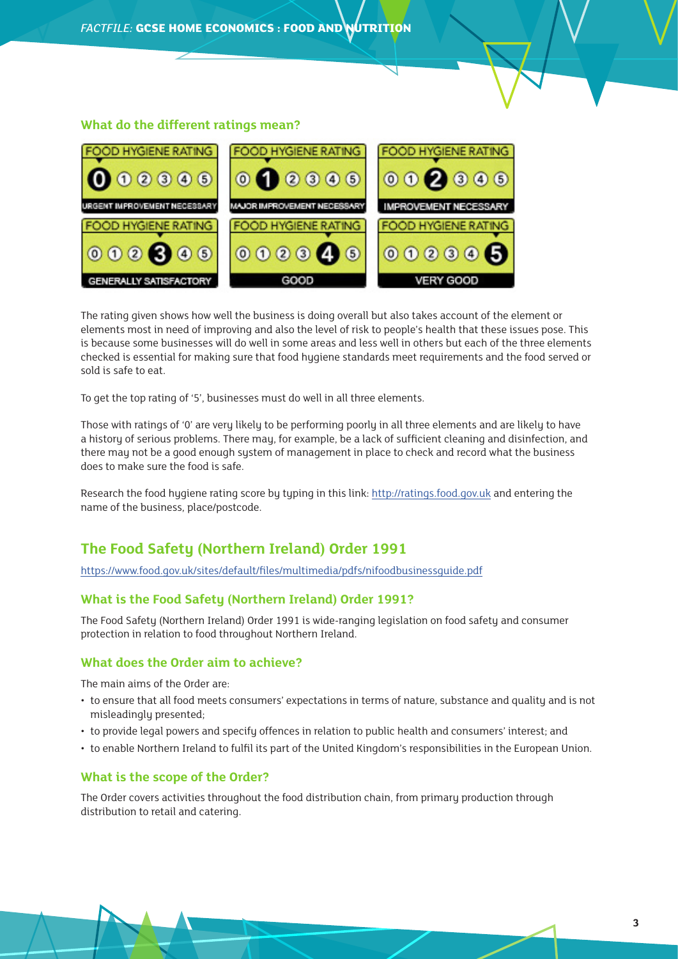#### **What do the different ratings mean?**



The rating given shows how well the business is doing overall but also takes account of the element or elements most in need of improving and also the level of risk to people's health that these issues pose. This is because some businesses will do well in some areas and less well in others but each of the three elements checked is essential for making sure that food hygiene standards meet requirements and the food served or sold is safe to eat.

To get the top rating of '5', businesses must do well in all three elements.

Those with ratings of '0' are very likely to be performing poorly in all three elements and are likely to have a history of serious problems. There may, for example, be a lack of sufficient cleaning and disinfection, and there may not be a good enough system of management in place to check and record what the business does to make sure the food is safe.

Research the food hugiene rating score by typing in this link:<http://ratings.food.gov.uk> and entering the name of the business, place/postcode.

# **The Food Safety (Northern Ireland) Order 1991**

<https://www.food.gov.uk/sites/default/files/multimedia/pdfs/nifoodbusinessguide.pdf>

#### **What is the Food Safety (Northern Ireland) Order 1991?**

The Food Safety (Northern Ireland) Order 1991 is wide-ranging legislation on food safety and consumer protection in relation to food throughout Northern Ireland.

#### **What does the Order aim to achieve?**

The main aims of the Order are:

- to ensure that all food meets consumers' expectations in terms of nature, substance and quality and is not misleadingly presented;
- to provide legal powers and specify offences in relation to public health and consumers' interest; and
- to enable Northern Ireland to fulfil its part of the United Kingdom's responsibilities in the European Union.

#### **What is the scope of the Order?**

The Order covers activities throughout the food distribution chain, from primary production through distribution to retail and catering.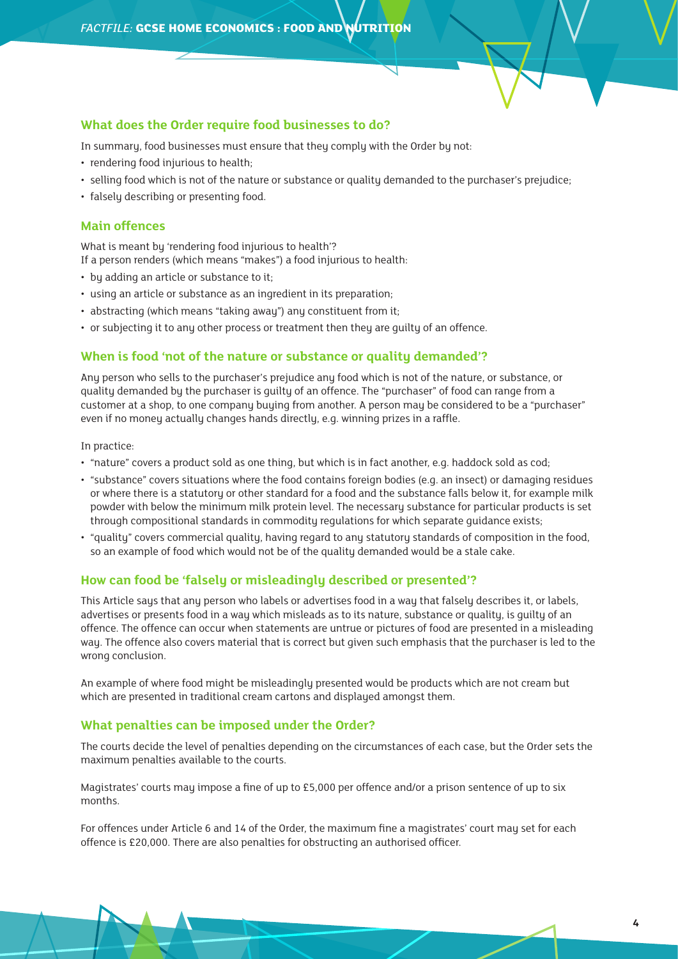#### **What does the Order require food businesses to do?**

In summary, food businesses must ensure that they comply with the Order by not:

- rendering food injurious to health;
- selling food which is not of the nature or substance or quality demanded to the purchaser's prejudice;
- falsely describing or presenting food.

#### **Main offences**

What is meant bu 'rendering food injurious to health'?

If a person renders (which means "makes") a food injurious to health:

- by adding an article or substance to it;
- using an article or substance as an ingredient in its preparation;
- abstracting (which means "taking away") any constituent from it;
- or subjecting it to any other process or treatment then they are guilty of an offence.

#### **When is food 'not of the nature or substance or quality demanded'?**

Any person who sells to the purchaser's prejudice any food which is not of the nature, or substance, or quality demanded by the purchaser is guilty of an offence. The "purchaser" of food can range from a customer at a shop, to one company buying from another. A person may be considered to be a "purchaser" even if no money actually changes hands directly, e.g. winning prizes in a raffle.

In practice:

- "nature" covers a product sold as one thing, but which is in fact another, e.g. haddock sold as cod;
- "substance" covers situations where the food contains foreign bodies (e.g. an insect) or damaging residues or where there is a statutory or other standard for a food and the substance falls below it, for example milk powder with below the minimum milk protein level. The necessary substance for particular products is set through compositional standards in commodity regulations for which separate guidance exists;
- "quality" covers commercial quality, having regard to any statutory standards of composition in the food, so an example of food which would not be of the quality demanded would be a stale cake.

#### **How can food be 'falsely or misleadingly described or presented'?**

This Article says that any person who labels or advertises food in a way that falsely describes it, or labels, advertises or presents food in a way which misleads as to its nature, substance or quality, is guilty of an offence. The offence can occur when statements are untrue or pictures of food are presented in a misleading way. The offence also covers material that is correct but given such emphasis that the purchaser is led to the wrong conclusion.

An example of where food might be misleadingly presented would be products which are not cream but which are presented in traditional cream cartons and displayed amongst them.

#### **What penalties can be imposed under the Order?**

The courts decide the level of penalties depending on the circumstances of each case, but the Order sets the maximum penalties available to the courts.

Magistrates' courts may impose a fine of up to £5,000 per offence and/or a prison sentence of up to six months.

For offences under Article 6 and 14 of the Order, the maximum fine a magistrates' court may set for each offence is £20,000. There are also penalties for obstructing an authorised officer.